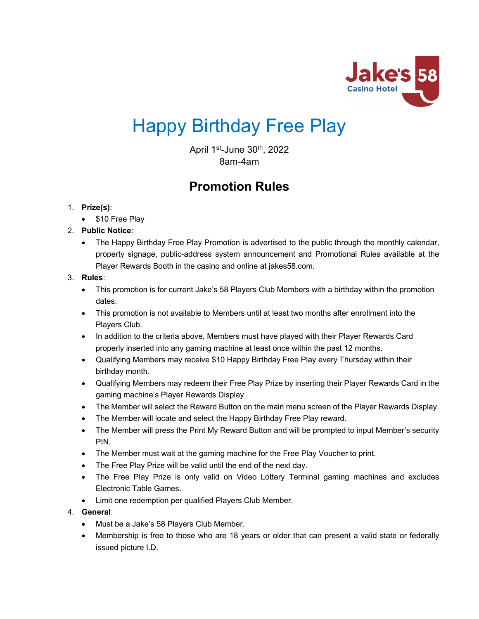

# Happy Birthday Free Play

April  $1<sup>st</sup>$ -June  $30<sup>th</sup>$ , 2022 8am-4am

# **Promotion Rules**

# 1. **Prize(s)**:

- \$10 Free Play
- 2. **Public Notice**:
	- The Happy Birthday Free Play Promotion is advertised to the public through the monthly calendar, property signage, public-address system announcement and Promotional Rules available at the Player Rewards Booth in the casino and online at jakes58.com.

# 3. **Rules**:

- This promotion is for current Jake's 58 Players Club Members with a birthday within the promotion dates.
- This promotion is not available to Members until at least two months after enrollment into the Players Club.
- In addition to the criteria above, Members must have played with their Player Rewards Card properly inserted into any gaming machine at least once within the past 12 months.
- Qualifying Members may receive \$10 Happy Birthday Free Play every Thursday within their birthday month.
- Qualifying Members may redeem their Free Play Prize by inserting their Player Rewards Card in the gaming machine's Player Rewards Display.
- The Member will select the Reward Button on the main menu screen of the Player Rewards Display.
- The Member will locate and select the Happy Birthday Free Play reward.
- The Member will press the Print My Reward Button and will be prompted to input Member's security PIN.
- The Member must wait at the gaming machine for the Free Play Voucher to print.
- The Free Play Prize will be valid until the end of the next day.
- The Free Play Prize is only valid on Video Lottery Terminal gaming machines and excludes Electronic Table Games.
- Limit one redemption per qualified Players Club Member.

# 4. **General**:

- Must be a Jake's 58 Players Club Member.
- Membership is free to those who are 18 years or older that can present a valid state or federally issued picture I.D.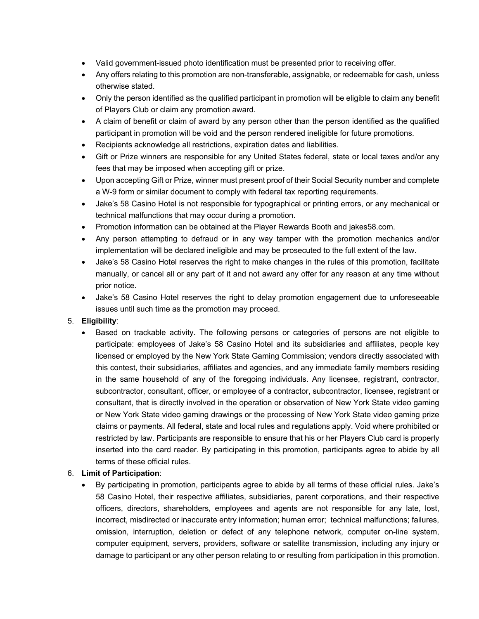- Valid government-issued photo identification must be presented prior to receiving offer.
- Any offers relating to this promotion are non-transferable, assignable, or redeemable for cash, unless otherwise stated.
- Only the person identified as the qualified participant in promotion will be eligible to claim any benefit of Players Club or claim any promotion award.
- A claim of benefit or claim of award by any person other than the person identified as the qualified participant in promotion will be void and the person rendered ineligible for future promotions.
- Recipients acknowledge all restrictions, expiration dates and liabilities.
- Gift or Prize winners are responsible for any United States federal, state or local taxes and/or any fees that may be imposed when accepting gift or prize.
- Upon accepting Gift or Prize, winner must present proof of their Social Security number and complete a W-9 form or similar document to comply with federal tax reporting requirements.
- Jake's 58 Casino Hotel is not responsible for typographical or printing errors, or any mechanical or technical malfunctions that may occur during a promotion.
- Promotion information can be obtained at the Player Rewards Booth and jakes58.com.
- Any person attempting to defraud or in any way tamper with the promotion mechanics and/or implementation will be declared ineligible and may be prosecuted to the full extent of the law.
- Jake's 58 Casino Hotel reserves the right to make changes in the rules of this promotion, facilitate manually, or cancel all or any part of it and not award any offer for any reason at any time without prior notice.
- Jake's 58 Casino Hotel reserves the right to delay promotion engagement due to unforeseeable issues until such time as the promotion may proceed.

#### 5. **Eligibility**:

• Based on trackable activity. The following persons or categories of persons are not eligible to participate: employees of Jake's 58 Casino Hotel and its subsidiaries and affiliates, people key licensed or employed by the New York State Gaming Commission; vendors directly associated with this contest, their subsidiaries, affiliates and agencies, and any immediate family members residing in the same household of any of the foregoing individuals. Any licensee, registrant, contractor, subcontractor, consultant, officer, or employee of a contractor, subcontractor, licensee, registrant or consultant, that is directly involved in the operation or observation of New York State video gaming or New York State video gaming drawings or the processing of New York State video gaming prize claims or payments. All federal, state and local rules and regulations apply. Void where prohibited or restricted by law. Participants are responsible to ensure that his or her Players Club card is properly inserted into the card reader. By participating in this promotion, participants agree to abide by all terms of these official rules.

#### 6. **Limit of Participation**:

• By participating in promotion, participants agree to abide by all terms of these official rules. Jake's 58 Casino Hotel, their respective affiliates, subsidiaries, parent corporations, and their respective officers, directors, shareholders, employees and agents are not responsible for any late, lost, incorrect, misdirected or inaccurate entry information; human error; technical malfunctions; failures, omission, interruption, deletion or defect of any telephone network, computer on-line system, computer equipment, servers, providers, software or satellite transmission, including any injury or damage to participant or any other person relating to or resulting from participation in this promotion.